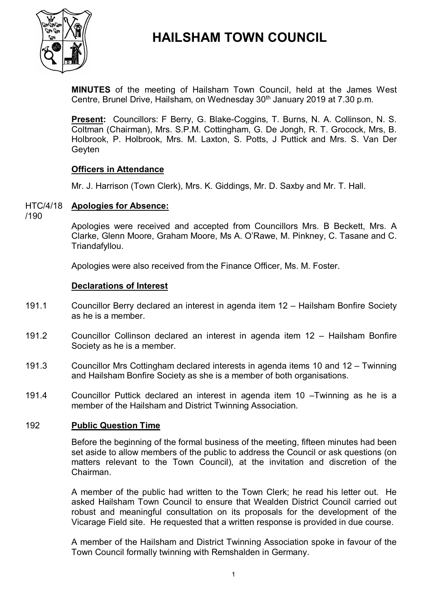

# **HAILSHAM TOWN COUNCIL**

**MINUTES** of the meeting of Hailsham Town Council, held at the James West Centre, Brunel Drive, Hailsham, on Wednesday 30<sup>th</sup> January 2019 at 7.30 p.m.

**Present:** Councillors: F Berry, G. Blake-Coggins, T. Burns, N. A. Collinson, N. S. Coltman (Chairman), Mrs. S.P.M. Cottingham, G. De Jongh, R. T. Grocock, Mrs, B. Holbrook, P. Holbrook, Mrs. M. Laxton, S. Potts, J Puttick and Mrs. S. Van Der **Gevten** 

# **Officers in Attendance**

Mr. J. Harrison (Town Clerk), Mrs. K. Giddings, Mr. D. Saxby and Mr. T. Hall.

#### HTC/4/18 **Apologies for Absence:**

/190

Apologies were received and accepted from Councillors Mrs. B Beckett, Mrs. A Clarke, Glenn Moore, Graham Moore, Ms A. O'Rawe, M. Pinkney, C. Tasane and C. Triandafyllou.

Apologies were also received from the Finance Officer, Ms. M. Foster.

### **Declarations of Interest**

- 191.1 Councillor Berry declared an interest in agenda item 12 – Hailsham Bonfire Society as he is a member.
- 191.2 Councillor Collinson declared an interest in agenda item 12 – Hailsham Bonfire Society as he is a member.
- 191.3 Councillor Mrs Cottingham declared interests in agenda items 10 and 12 – Twinning and Hailsham Bonfire Society as she is a member of both organisations.
- 191.4 Councillor Puttick declared an interest in agenda item 10 –Twinning as he is a member of the Hailsham and District Twinning Association.

# 192 **Public Question Time**

Before the beginning of the formal business of the meeting, fifteen minutes had been set aside to allow members of the public to address the Council or ask questions (on matters relevant to the Town Council), at the invitation and discretion of the Chairman.

A member of the public had written to the Town Clerk; he read his letter out. He asked Hailsham Town Council to ensure that Wealden District Council carried out robust and meaningful consultation on its proposals for the development of the Vicarage Field site. He requested that a written response is provided in due course.

A member of the Hailsham and District Twinning Association spoke in favour of the Town Council formally twinning with Remshalden in Germany.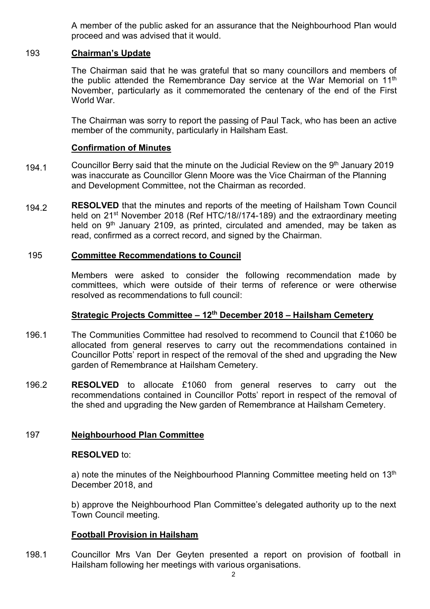A member of the public asked for an assurance that the Neighbourhood Plan would proceed and was advised that it would.

# 193 **Chairman's Update**

The Chairman said that he was grateful that so many councillors and members of the public attended the Remembrance Day service at the War Memorial on  $11<sup>th</sup>$ November, particularly as it commemorated the centenary of the end of the First World War.

The Chairman was sorry to report the passing of Paul Tack, who has been an active member of the community, particularly in Hailsham East.

# **Confirmation of Minutes**

- 194.1 Councillor Berry said that the minute on the Judicial Review on the 9<sup>th</sup> January 2019 was inaccurate as Councillor Glenn Moore was the Vice Chairman of the Planning and Development Committee, not the Chairman as recorded.
- 194.2 **RESOLVED** that the minutes and reports of the meeting of Hailsham Town Council held on 21<sup>st</sup> November 2018 (Ref HTC/18//174-189) and the extraordinary meeting held on  $9<sup>th</sup>$  January 2109, as printed, circulated and amended, may be taken as read, confirmed as a correct record, and signed by the Chairman.

### 195 **Committee Recommendations to Council**

Members were asked to consider the following recommendation made by committees, which were outside of their terms of reference or were otherwise resolved as recommendations to full council:

# **Strategic Projects Committee – 12th December 2018 – Hailsham Cemetery**

- 196.1 The Communities Committee had resolved to recommend to Council that £1060 be allocated from general reserves to carry out the recommendations contained in Councillor Potts' report in respect of the removal of the shed and upgrading the New garden of Remembrance at Hailsham Cemetery.
- 196.2 **RESOLVED** to allocate £1060 from general reserves to carry out the recommendations contained in Councillor Potts' report in respect of the removal of the shed and upgrading the New garden of Remembrance at Hailsham Cemetery.

# 197 **Neighbourhood Plan Committee**

#### **RESOLVED** to:

a) note the minutes of the Neighbourhood Planning Committee meeting held on  $13<sup>th</sup>$ December 2018, and

b) approve the Neighbourhood Plan Committee's delegated authority up to the next Town Council meeting.

# **Football Provision in Hailsham**

198.1 Councillor Mrs Van Der Geyten presented a report on provision of football in Hailsham following her meetings with various organisations.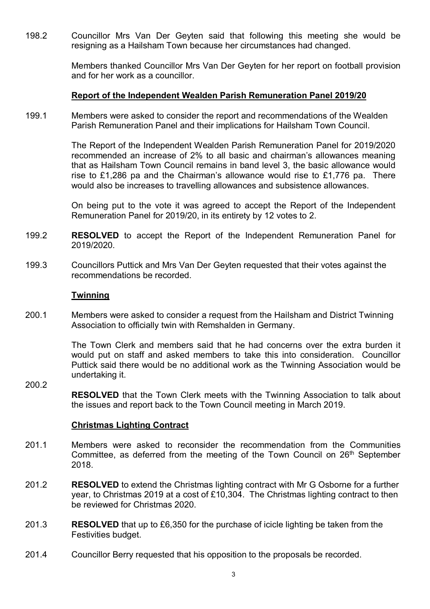198.2 Councillor Mrs Van Der Geyten said that following this meeting she would be resigning as a Hailsham Town because her circumstances had changed.

> Members thanked Councillor Mrs Van Der Geyten for her report on football provision and for her work as a councillor.

### **Report of the Independent Wealden Parish Remuneration Panel 2019/20**

199.1 Members were asked to consider the report and recommendations of the Wealden Parish Remuneration Panel and their implications for Hailsham Town Council.

> The Report of the Independent Wealden Parish Remuneration Panel for 2019/2020 recommended an increase of 2% to all basic and chairman's allowances meaning that as Hailsham Town Council remains in band level 3, the basic allowance would rise to £1,286 pa and the Chairman's allowance would rise to £1,776 pa. There would also be increases to travelling allowances and subsistence allowances.

> On being put to the vote it was agreed to accept the Report of the Independent Remuneration Panel for 2019/20, in its entirety by 12 votes to 2.

- 199.2 **RESOLVED** to accept the Report of the Independent Remuneration Panel for 2019/2020.
- 199.3 Councillors Puttick and Mrs Van Der Geyten requested that their votes against the recommendations be recorded.

#### **Twinning**

200.1 Members were asked to consider a request from the Hailsham and District Twinning Association to officially twin with Remshalden in Germany.

> The Town Clerk and members said that he had concerns over the extra burden it would put on staff and asked members to take this into consideration. Councillor Puttick said there would be no additional work as the Twinning Association would be undertaking it.

200.2 **RESOLVED** that the Town Clerk meets with the Twinning Association to talk about the issues and report back to the Town Council meeting in March 2019.

#### **Christmas Lighting Contract**

- 201.1 Members were asked to reconsider the recommendation from the Communities Committee, as deferred from the meeting of the Town Council on 26<sup>th</sup> September 2018.
- 201.2 **RESOLVED** to extend the Christmas lighting contract with Mr G Osborne for a further year, to Christmas 2019 at a cost of £10,304. The Christmas lighting contract to then be reviewed for Christmas 2020.
- 201.3 **RESOLVED** that up to £6,350 for the purchase of icicle lighting be taken from the Festivities budget.
- 201.4 Councillor Berry requested that his opposition to the proposals be recorded.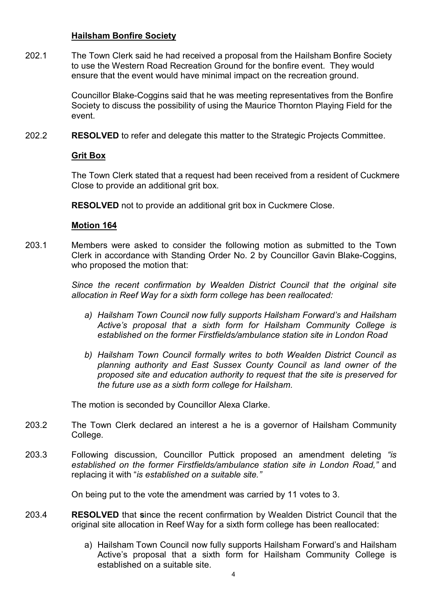# **Hailsham Bonfire Society**

202.1 The Town Clerk said he had received a proposal from the Hailsham Bonfire Society to use the Western Road Recreation Ground for the bonfire event. They would ensure that the event would have minimal impact on the recreation ground.

> Councillor Blake-Coggins said that he was meeting representatives from the Bonfire Society to discuss the possibility of using the Maurice Thornton Playing Field for the event.

202.2 **RESOLVED** to refer and delegate this matter to the Strategic Projects Committee.

# **Grit Box**

The Town Clerk stated that a request had been received from a resident of Cuckmere Close to provide an additional grit box.

**RESOLVED** not to provide an additional grit box in Cuckmere Close.

### **Motion 164**

203.1 Members were asked to consider the following motion as submitted to the Town Clerk in accordance with Standing Order No. 2 by Councillor Gavin Blake-Coggins, who proposed the motion that:

> *Since the recent confirmation by Wealden District Council that the original site allocation in Reef Way for a sixth form college has been reallocated:*

- *a) Hailsham Town Council now fully supports Hailsham Forward's and Hailsham Active's proposal that a sixth form for Hailsham Community College is established on the former Firstfields/ambulance station site in London Road*
- *b) Hailsham Town Council formally writes to both Wealden District Council as planning authority and East Sussex County Council as land owner of the proposed site and education authority to request that the site is preserved for the future use as a sixth form college for Hailsham.*

The motion is seconded by Councillor Alexa Clarke.

- 203.2 The Town Clerk declared an interest a he is a governor of Hailsham Community College.
- 203.3 Following discussion, Councillor Puttick proposed an amendment deleting *"is established on the former Firstfields/ambulance station site in London Road,"* and replacing it with "*is established on a suitable site."*

On being put to the vote the amendment was carried by 11 votes to 3.

- 203.4 **RESOLVED** that **s**ince the recent confirmation by Wealden District Council that the original site allocation in Reef Way for a sixth form college has been reallocated:
	- a) Hailsham Town Council now fully supports Hailsham Forward's and Hailsham Active's proposal that a sixth form for Hailsham Community College is established on a suitable site.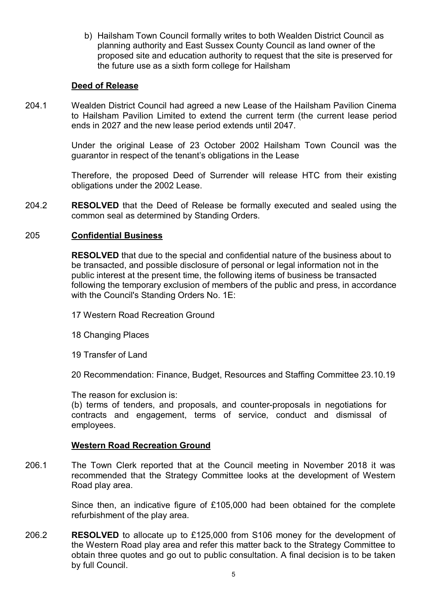b) Hailsham Town Council formally writes to both Wealden District Council as planning authority and East Sussex County Council as land owner of the proposed site and education authority to request that the site is preserved for the future use as a sixth form college for Hailsham

# **Deed of Release**

204.1 Wealden District Council had agreed a new Lease of the Hailsham Pavilion Cinema to Hailsham Pavilion Limited to extend the current term (the current lease period ends in 2027 and the new lease period extends until 2047.

> Under the original Lease of 23 October 2002 Hailsham Town Council was the guarantor in respect of the tenant's obligations in the Lease

> Therefore, the proposed Deed of Surrender will release HTC from their existing obligations under the 2002 Lease.

204.2 **RESOLVED** that the Deed of Release be formally executed and sealed using the common seal as determined by Standing Orders.

# 205 **Confidential Business**

**RESOLVED** that due to the special and confidential nature of the business about to be transacted, and possible disclosure of personal or legal information not in the public interest at the present time, the following items of business be transacted following the temporary exclusion of members of the public and press, in accordance with the Council's Standing Orders No. 1E:

- 17 Western Road Recreation Ground
- 18 Changing Places
- 19 Transfer of Land

20 Recommendation: Finance, Budget, Resources and Staffing Committee 23.10.19

The reason for exclusion is:

(b) terms of tenders, and proposals, and counter-proposals in negotiations for contracts and engagement, terms of service, conduct and dismissal of employees.

# **Western Road Recreation Ground**

206.1 The Town Clerk reported that at the Council meeting in November 2018 it was recommended that the Strategy Committee looks at the development of Western Road play area.

> Since then, an indicative figure of £105,000 had been obtained for the complete refurbishment of the play area.

206.2 **RESOLVED** to allocate up to £125,000 from S106 money for the development of the Western Road play area and refer this matter back to the Strategy Committee to obtain three quotes and go out to public consultation. A final decision is to be taken by full Council.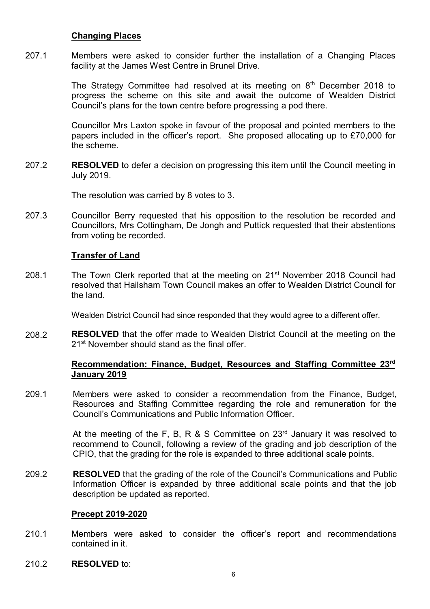# **Changing Places**

207.1 Members were asked to consider further the installation of a Changing Places facility at the James West Centre in Brunel Drive.

> The Strategy Committee had resolved at its meeting on  $8<sup>th</sup>$  December 2018 to progress the scheme on this site and await the outcome of Wealden District Council's plans for the town centre before progressing a pod there.

> Councillor Mrs Laxton spoke in favour of the proposal and pointed members to the papers included in the officer's report. She proposed allocating up to £70,000 for the scheme.

207.2 **RESOLVED** to defer a decision on progressing this item until the Council meeting in July 2019.

The resolution was carried by 8 votes to 3.

207.3 Councillor Berry requested that his opposition to the resolution be recorded and Councillors, Mrs Cottingham, De Jongh and Puttick requested that their abstentions from voting be recorded.

### **Transfer of Land**

208.1 The Town Clerk reported that at the meeting on 21<sup>st</sup> November 2018 Council had resolved that Hailsham Town Council makes an offer to Wealden District Council for the land.

Wealden District Council had since responded that they would agree to a different offer.

208.2 **RESOLVED** that the offer made to Wealden District Council at the meeting on the 21<sup>st</sup> November should stand as the final offer

# **Recommendation: Finance, Budget, Resources and Staffing Committee 23 rd January 2019**

209.1 Members were asked to consider a recommendation from the Finance, Budget, Resources and Staffing Committee regarding the role and remuneration for the Council's Communications and Public Information Officer.

> At the meeting of the F, B, R & S Committee on  $23<sup>rd</sup>$  January it was resolved to recommend to Council, following a review of the grading and job description of the CPIO, that the grading for the role is expanded to three additional scale points.

209.2 **RESOLVED** that the grading of the role of the Council's Communications and Public Information Officer is expanded by three additional scale points and that the job description be updated as reported.

#### **Precept 2019-2020**

- 210.1 Members were asked to consider the officer's report and recommendations contained in it.
- 210.2 **RESOLVED** to: